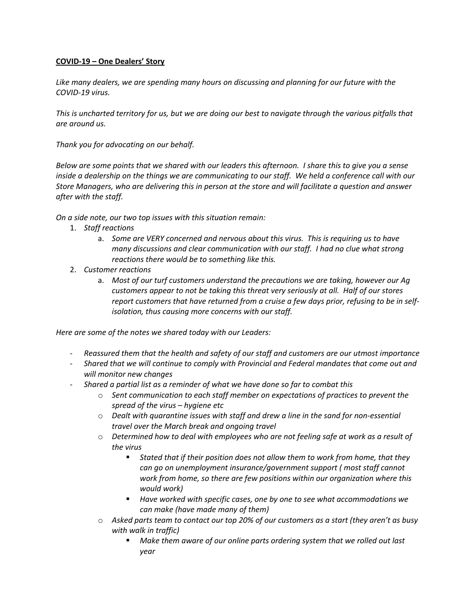## **COVID-19 – One Dealers' Story**

*Like many dealers, we are spending many hours on discussing and planning for our future with the COVID-19 virus.*

*This is uncharted territory for us, but we are doing our best to navigate through the various pitfalls that are around us.*

*Thank you for advocating on our behalf.*

*Below are some points that we shared with our leaders this afternoon. I share this to give you a sense inside a dealership on the things we are communicating to our staff. We held a conference call with our Store Managers, who are delivering this in person at the store and will facilitate a question and answer after with the staff.*

*On a side note, our two top issues with this situation remain:*

- 1. *Staff reactions*
	- a. *Some are VERY concerned and nervous about this virus. This is requiring us to have many discussions and clear communication with our staff. I had no clue what strong reactions there would be to something like this.*
- 2. *Customer reactions*
	- a. *Most of our turf customers understand the precautions we are taking, however our Ag customers appear to not be taking this threat very seriously at all. Half of our stores*  report customers that have returned from a cruise a few days prior, refusing to be in self*isolation, thus causing more concerns with our staff.*

*Here are some of the notes we shared today with our Leaders:*

- *Reassured them that the health and safety of our staff and customers are our utmost importance*
- *Shared that we will continue to comply with Provincial and Federal mandates that come out and will monitor new changes*
- *Shared a partial list as a reminder of what we have done so far to combat this* 
	- o *Sent communication to each staff member on expectations of practices to prevent the spread of the virus – hygiene etc*
	- o *Dealt with quarantine issues with staff and drew a line in the sand for non-essential travel over the March break and ongoing travel*
	- o *Determined how to deal with employees who are not feeling safe at work as a result of the virus*
		- § *Stated that if their position does not allow them to work from home, that they can go on unemployment insurance/government support ( most staff cannot work from home, so there are few positions within our organization where this would work)*
		- § *Have worked with specific cases, one by one to see what accommodations we can make (have made many of them)*
	- o *Asked parts team to contact our top 20% of our customers as a start (they aren't as busy with walk in traffic)* 
		- § *Make them aware of our online parts ordering system that we rolled out last year*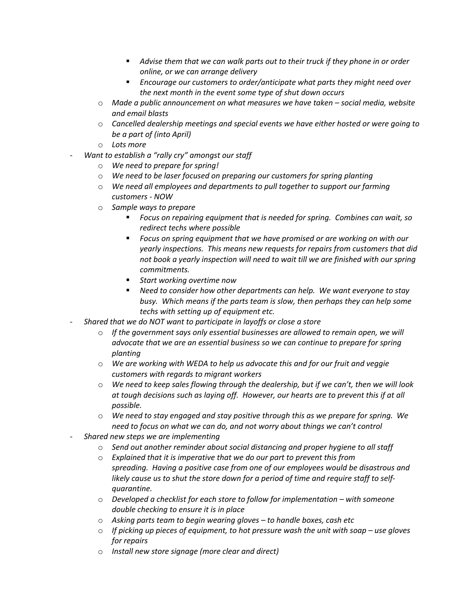- § *Advise them that we can walk parts out to their truck if they phone in or order online, or we can arrange delivery*
- § *Encourage our customers to order/anticipate what parts they might need over the next month in the event some type of shut down occurs*
- o *Made a public announcement on what measures we have taken – social media, website and email blasts*
- o *Cancelled dealership meetings and special events we have either hosted or were going to be a part of (into April)*
- o *Lots more*
- *Want to establish a "rally cry" amongst our staff* 
	- o *We need to prepare for spring!*
	- o *We need to be laser focused on preparing our customers for spring planting*
	- o *We need all employees and departments to pull together to support our farming customers - NOW*
	- o *Sample ways to prepare* 
		- § *Focus on repairing equipment that is needed for spring. Combines can wait, so redirect techs where possible*
		- Focus on spring equipment that we have promised or are working on with our *yearly inspections. This means new requests for repairs from customers that did not book a yearly inspection will need to wait till we are finished with our spring commitments.*
		- Start working overtime now
		- Need to consider how other departments can help. We want everyone to stay *busy. Which means if the parts team is slow, then perhaps they can help some techs with setting up of equipment etc.*
- *Shared that we do NOT want to participate in layoffs or close a store* 
	- o *If the government says only essential businesses are allowed to remain open, we will advocate that we are an essential business so we can continue to prepare for spring planting*
	- o *We are working with WEDA to help us advocate this and for our fruit and veggie customers with regards to migrant workers*
	- o *We need to keep sales flowing through the dealership, but if we can't, then we will look at tough decisions such as laying off. However, our hearts are to prevent this if at all possible.*
	- o *We need to stay engaged and stay positive through this as we prepare for spring. We need to focus on what we can do, and not worry about things we can't control*
- *Shared new steps we are implementing* 
	- o *Send out another reminder about social distancing and proper hygiene to all staff*
	- o *Explained that it is imperative that we do our part to prevent this from spreading. Having a positive case from one of our employees would be disastrous and likely cause us to shut the store down for a period of time and require staff to selfquarantine.*
	- o *Developed a checklist for each store to follow for implementation – with someone double checking to ensure it is in place*
	- o *Asking parts team to begin wearing gloves – to handle boxes, cash etc*
	- o *If picking up pieces of equipment, to hot pressure wash the unit with soap – use gloves for repairs*
	- o *Install new store signage (more clear and direct)*